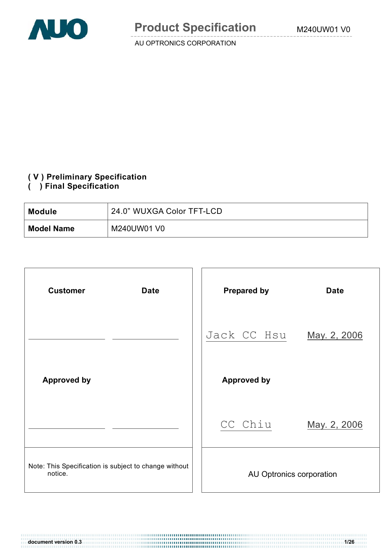

### **( V ) Preliminary Specification**

### **( ) Final Specification**

| <b>Module</b>     | 24.0" WUXGA Color TFT-LCD |
|-------------------|---------------------------|
| <b>Model Name</b> | M240UW01 V0               |

| <b>Customer</b><br><b>Date</b>                                   | <b>Prepared by</b><br><b>Date</b> |
|------------------------------------------------------------------|-----------------------------------|
|                                                                  | Jack CC Hsu<br>May. 2, 2006       |
| <b>Approved by</b>                                               | <b>Approved by</b>                |
|                                                                  | CC Chiu<br>May. 2, 2006           |
| Note: This Specification is subject to change without<br>notice. | AU Optronics corporation          |

**document version 0.3 1/26**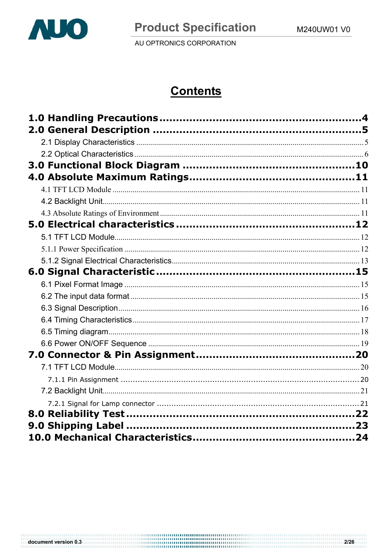

# **Contents**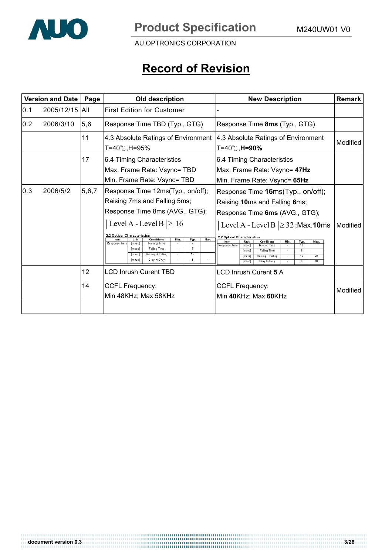

# **Record of Revision**

|      | <b>Version and Date</b> | Page            | Old description                                                                                                                                                                                                                                                                                                                                                                                    | <b>New Description</b>                                                                                                                                                                                                                                                                                                                                                                                                       | <b>Remark</b> |
|------|-------------------------|-----------------|----------------------------------------------------------------------------------------------------------------------------------------------------------------------------------------------------------------------------------------------------------------------------------------------------------------------------------------------------------------------------------------------------|------------------------------------------------------------------------------------------------------------------------------------------------------------------------------------------------------------------------------------------------------------------------------------------------------------------------------------------------------------------------------------------------------------------------------|---------------|
| 10.1 | 2005/12/15              | IAII            | <b>First Edition for Customer</b>                                                                                                                                                                                                                                                                                                                                                                  |                                                                                                                                                                                                                                                                                                                                                                                                                              |               |
| 0.2  | 2006/3/10               | 5,6             | Response Time TBD (Typ., GTG)                                                                                                                                                                                                                                                                                                                                                                      | Response Time 8ms (Typ., GTG)                                                                                                                                                                                                                                                                                                                                                                                                |               |
|      |                         | 11              | 4.3 Absolute Ratings of Environment<br>T=40℃,H=95%                                                                                                                                                                                                                                                                                                                                                 | 4.3 Absolute Ratings of Environment<br>T=40℃, <b>H=90%</b>                                                                                                                                                                                                                                                                                                                                                                   | Modified      |
|      |                         | 17              | 6.4 Timing Characteristics<br>Max. Frame Rate: Vsync= TBD<br>Min. Frame Rate: Vsync= TBD                                                                                                                                                                                                                                                                                                           | 6.4 Timing Characteristics<br>Max. Frame Rate: Vsync= 47Hz<br>Min. Frame Rate: Vsync= 65Hz                                                                                                                                                                                                                                                                                                                                   |               |
| 0.3  | 2006/5/2                | 5, 6, 7         | Response Time 12ms(Typ., on/off);<br>Raising 7ms and Falling 5ms;<br>Response Time 8ms (AVG., GTG);<br>Level A - Level B $\geq 16$<br>2.2 Optical Characteristics<br>Max.<br><b>Item</b><br><b>Unit</b><br><b>Conditions</b><br>Min.<br>Тур.<br>Response Time<br>Raising Time<br>[msec]<br>5<br><b>Falling Time</b><br>[msec]<br>12<br>Raising + Falling<br>[msec]<br>R.<br>Gray to Gray<br>[msec] | Response Time 16ms(Typ., on/off);<br>Raising 10ms and Falling 6ms;<br>Response Time 6ms (AVG., GTG);<br>Level A - Level B $\geq$ 32; Max. 10ms<br>2.2 Optical Characteristics<br>Item<br>Unit<br><b>Conditions</b><br>Min.<br>Max.<br>Тур.<br>Response Time<br>Raising Time<br>msec<br>10<br>$\overline{6}$<br><b>Falling Time</b><br>[msec]<br>16<br>20<br>[msec]<br>Raising + Falling<br>10<br>6<br>[msec]<br>Gray to Gray | Modified      |
|      |                         | 12 <sub>2</sub> | <b>LCD Inrush Curent TBD</b>                                                                                                                                                                                                                                                                                                                                                                       | LCD Inrush Curent 5 A                                                                                                                                                                                                                                                                                                                                                                                                        |               |
|      |                         | 14              | <b>CCFL Frequency:</b><br>Min 48KHz; Max 58KHz                                                                                                                                                                                                                                                                                                                                                     | <b>CCFL Frequency:</b><br>Min 40KHz; Max 60KHz                                                                                                                                                                                                                                                                                                                                                                               | Modified      |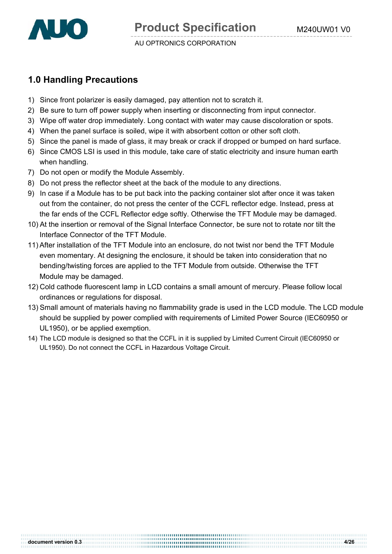

# **1.0 Handling Precautions**

- 1) Since front polarizer is easily damaged, pay attention not to scratch it.
- 2) Be sure to turn off power supply when inserting or disconnecting from input connector.
- 3) Wipe off water drop immediately. Long contact with water may cause discoloration or spots.
- 4) When the panel surface is soiled, wipe it with absorbent cotton or other soft cloth.
- 5) Since the panel is made of glass, it may break or crack if dropped or bumped on hard surface.
- 6) Since CMOS LSI is used in this module, take care of static electricity and insure human earth when handling.
- 7) Do not open or modify the Module Assembly.
- 8) Do not press the reflector sheet at the back of the module to any directions.
- 9) In case if a Module has to be put back into the packing container slot after once it was taken out from the container, do not press the center of the CCFL reflector edge. Instead, press at the far ends of the CCFL Reflector edge softly. Otherwise the TFT Module may be damaged.
- 10) At the insertion or removal of the Signal Interface Connector, be sure not to rotate nor tilt the Interface Connector of the TFT Module.
- 11) After installation of the TFT Module into an enclosure, do not twist nor bend the TFT Module even momentary. At designing the enclosure, it should be taken into consideration that no bending/twisting forces are applied to the TFT Module from outside. Otherwise the TFT Module may be damaged.
- 12) Cold cathode fluorescent lamp in LCD contains a small amount of mercury. Please follow local ordinances or regulations for disposal.
- 13) Small amount of materials having no flammability grade is used in the LCD module. The LCD module should be supplied by power complied with requirements of Limited Power Source (IEC60950 or UL1950), or be applied exemption.
- 14) The LCD module is designed so that the CCFL in it is supplied by Limited Current Circuit (IEC60950 or UL1950). Do not connect the CCFL in Hazardous Voltage Circuit.

**document version 0.3 4/26**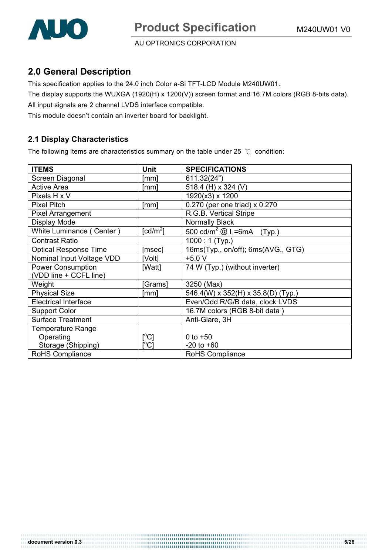# **2.0 General Description**

This specification applies to the 24.0 inch Color a-Si TFT-LCD Module M240UW01.

The display supports the WUXGA (1920(H) x 1200(V)) screen format and 16.7M colors (RGB 8-bits data).

All input signals are 2 channel LVDS interface compatible.

This module doesn't contain an inverter board for backlight.

# **2.1 Display Characteristics**

The following items are characteristics summary on the table under 25  $\degree$ C condition:

| <b>ITEMS</b>                 | <b>Unit</b>               | <b>SPECIFICATIONS</b>                              |
|------------------------------|---------------------------|----------------------------------------------------|
| Screen Diagonal              | [mm]                      | 611.32(24")                                        |
| <b>Active Area</b>           | [mm]                      | 518.4 (H) x 324 (V)                                |
| Pixels H x V                 |                           | 1920(x3) x 1200                                    |
| <b>Pixel Pitch</b>           | [mm]                      | 0.270 (per one triad) x 0.270                      |
| Pixel Arrangement            |                           | R.G.B. Vertical Stripe                             |
| Display Mode                 |                           | Normally Black                                     |
| White Luminance (Center)     | $\lceil cd/m^2 \rceil$    | 500 cd/m <sup>2</sup> @ I <sub>L</sub> =6mA (Typ.) |
| <b>Contrast Ratio</b>        |                           | $\overline{1000}$ : 1 (Typ.)                       |
| <b>Optical Response Time</b> | [msec]                    | 16ms(Typ., on/off); 6ms(AVG., GTG)                 |
| Nominal Input Voltage VDD    | [Volt]                    | $+5.0V$                                            |
| <b>Power Consumption</b>     | [Watt]                    | 74 W (Typ.) (without inverter)                     |
| (VDD line + CCFL line)       |                           |                                                    |
| Weight                       | [Grams]                   | 3250 (Max)                                         |
| <b>Physical Size</b>         | [mm]                      | 546.4(W) x 352(H) x 35.8(D) (Typ.)                 |
| <b>Electrical Interface</b>  |                           | Even/Odd R/G/B data, clock LVDS                    |
| <b>Support Color</b>         |                           | 16.7M colors (RGB 8-bit data)                      |
| <b>Surface Treatment</b>     |                           | Anti-Glare, 3H                                     |
| <b>Temperature Range</b>     |                           |                                                    |
| Operating                    | [°C]                      | 0 to $+50$                                         |
| Storage (Shipping)           | $\mathop{\rm l}{\rm ^oC}$ | $-20$ to $+60$                                     |
| <b>RoHS Compliance</b>       |                           | RoHS Compliance                                    |

**document version 0.3** 5/26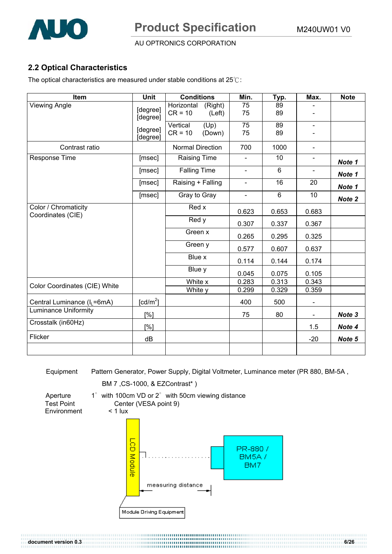

# **2.2 Optical Characteristics**

The optical characteristics are measured under stable conditions at  $25^\circ$ C:

| Item                                      | <b>Unit</b>          | <b>Conditions</b>                            | Min.           | Typ.           | Max.           | <b>Note</b> |
|-------------------------------------------|----------------------|----------------------------------------------|----------------|----------------|----------------|-------------|
| <b>Viewing Angle</b>                      | [degree]<br>[degree] | Horizontal<br>(Right)<br>$CR = 10$<br>(Left) | 75<br>75       | 89<br>89       |                |             |
|                                           | [degree]<br>[degree] | (Up)<br>Vertical<br>$CR = 10$<br>(Down)      | 75<br>75       | 89<br>89       | $\blacksquare$ |             |
| Contrast ratio                            |                      | <b>Normal Direction</b>                      | 700            | 1000           | $\blacksquare$ |             |
| Response Time                             | [msec]               | <b>Raising Time</b>                          | $\blacksquare$ | 10             |                | Note 1      |
|                                           | [msec]               | <b>Falling Time</b>                          | $\blacksquare$ | $6\phantom{a}$ | $\blacksquare$ | Note 1      |
|                                           | [msec]               | Raising + Falling                            | $\blacksquare$ | 16             | 20             | Note 1      |
|                                           | [msec]               | Gray to Gray                                 | $\blacksquare$ | 6              | 10             | Note 2      |
| Color / Chromaticity<br>Coordinates (CIE) |                      | Red x                                        | 0.623          | 0.653          | 0.683          |             |
|                                           |                      | Red y                                        | 0.307          | 0.337          | 0.367          |             |
|                                           |                      | Green x                                      | 0.265          | 0.295          | 0.325          |             |
|                                           |                      | Green y                                      | 0.577          | 0.607          | 0.637          |             |
|                                           |                      | Blue x                                       | 0.114          | 0.144          | 0.174          |             |
|                                           |                      | Blue y                                       | 0.045          | 0.075          | 0.105          |             |
| Color Coordinates (CIE) White             |                      | White x                                      | 0.283          | 0.313          | 0.343          |             |
|                                           |                      | White y                                      | 0.299          | 0.329          | 0.359          |             |
| Central Luminance (I <sub>L</sub> =6mA)   | [ $cd/m2$ ]          |                                              | 400            | 500            | $\blacksquare$ |             |
| <b>Luminance Uniformity</b>               | [%]                  |                                              | 75             | 80             | $\blacksquare$ | Note 3      |
| Crosstalk (in60Hz)                        | [%]                  |                                              |                |                | 1.5            | Note 4      |
| Flicker                                   | dB                   |                                              |                |                | $-20$          | Note 5      |
|                                           |                      |                                              |                |                |                |             |

Equipment Pattern Generator, Power Supply, Digital Voltmeter, Luminance meter (PR 880, BM-5A ,

**document version 0.3 6/26** 

BM 7 ,CS-1000, & EZContrast\* )

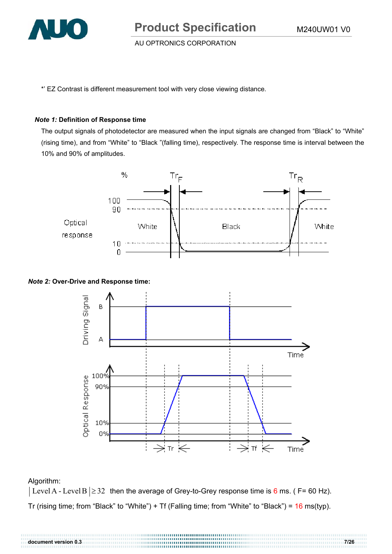

**Product Specification** M240UW01 V0

AU OPTRONICS CORPORATION

\*' EZ Contrast is different measurement tool with very close viewing distance.

#### *Note 1:* **Definition of Response time**

The output signals of photodetector are measured when the input signals are changed from "Black" to "White" (rising time), and from "White" to "Black "(falling time), respectively. The response time is interval between the 10% and 90% of amplitudes.



#### *Note 2:* **Over-Drive and Response time:**



#### Algorithm:

 $|\text{Level A - Level B}| \geq 32$  then the average of Grey-to-Grey response time is 6 ms. ( F= 60 Hz). Tr (rising time; from "Black" to "White") + Tf (Falling time; from "White" to "Black") =  $16$  ms(typ).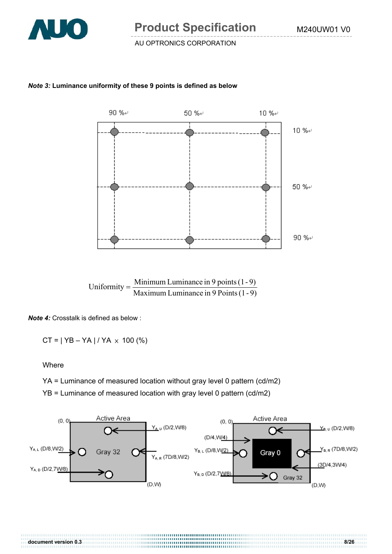

#### *Note 3:* **Luminance uniformity of these 9 points is defined as below**



*Note 4:* Crosstalk is defined as below :

 $CT = | YB - YA | / YA \times 100 (%)$ 

Where

YA = Luminance of measured location without gray level 0 pattern (cd/m2)

YB = Luminance of measured location with gray level 0 pattern (cd/m2)



**document version 0.3 8/26**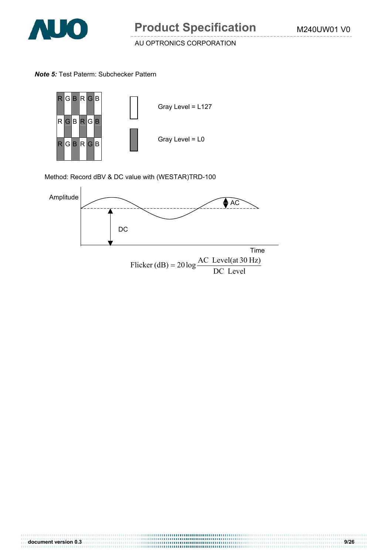

*Note 5:* Test Paterm: Subchecker Pattern



Method: Record dBV & DC value with (WESTAR)TRD-100



DC Level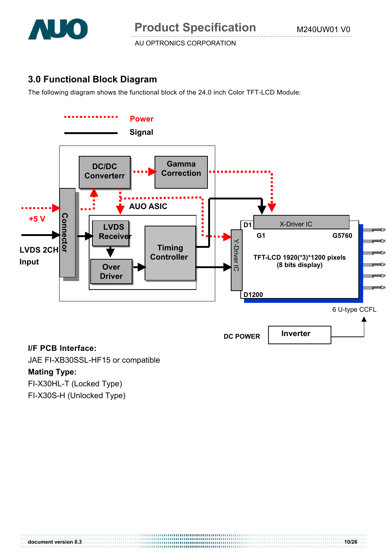

# **3.0 Functional Block Diagram**

The following diagram shows the functional block of the 24.0 inch Color TFT-LCD Module:



### **I/F PCB Interface:**

JAE FI-XB30SSL-HF15 or compatible

# **Mating Type:**

FI-X30HL-T (Locked Type)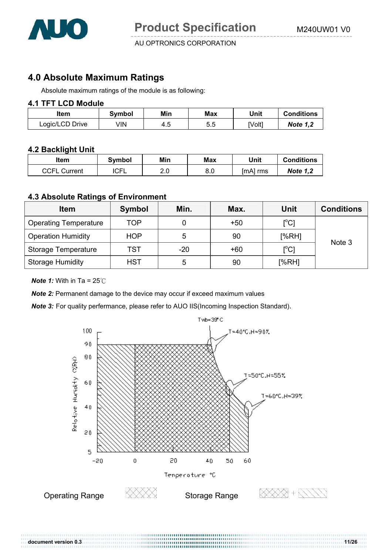

# **4.0 Absolute Maximum Ratings**

Absolute maximum ratings of the module is as following:

### **4.1 TFT LCD Module**

| ltem            | Svmbol | Min | Max | Unit   | <b>Conditions</b> |
|-----------------|--------|-----|-----|--------|-------------------|
| Logic/LCD Drive | √IN    | 4.S | 5.5 | [Volt] | <b>Note 1,2</b>   |

### **4.2 Backlight Unit**

| ltem                | Svmbol      | Min              | Max | Unit     | <b>Conditions</b> |
|---------------------|-------------|------------------|-----|----------|-------------------|
| <b>CCFL Current</b> | <b>ICFL</b> | <u>ົດ</u><br>Z.U | 8.0 | [mA] rms | <b>Note 1,2</b>   |

### **4.3 Absolute Ratings of Environment**

| <b>Item</b>                  | <b>Symbol</b> | Min.  | Max.  | <b>Unit</b>   | <b>Conditions</b> |  |
|------------------------------|---------------|-------|-------|---------------|-------------------|--|
| <b>Operating Temperature</b> | <b>TOP</b>    |       | $+50$ | [°C]          |                   |  |
| <b>Operation Humidity</b>    | <b>HOP</b>    | 5     | 90    | [%RH]         | Note 3            |  |
| Storage Temperature          | TST           | $-20$ | $+60$ | $[^{\circ}C]$ |                   |  |
| <b>Storage Humidity</b>      | <b>HST</b>    | 5     | 90    | [%RH]         |                   |  |

*Note 1:* With in Ta =  $25^{\circ}$ C

**Note 2:** Permanent damage to the device may occur if exceed maximum values

*Note 3:* For quality perfermance, please refer to AUO IIS(Incoming Inspection Standard).



**document version 0.3 11/26**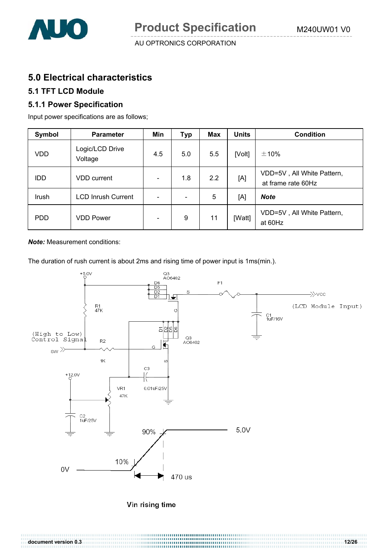

# **5.0 Electrical characteristics**

# **5.1 TFT LCD Module**

### **5.1.1 Power Specification**

Input power specifications are as follows;

| Symbol          | <b>Parameter</b>           | Min | <b>Typ</b>                   | Max | <b>Units</b> | <b>Condition</b>                                 |
|-----------------|----------------------------|-----|------------------------------|-----|--------------|--------------------------------------------------|
| <b>VDD</b>      | Logic/LCD Drive<br>Voltage | 4.5 | 5.0                          | 5.5 | [Volt]       | ±10%                                             |
| IDD             | <b>VDD</b> current         |     | 1.8                          | 2.2 | [A]          | VDD=5V, All White Pattern,<br>at frame rate 60Hz |
| Irush           | <b>LCD Inrush Current</b>  |     | $\qquad \qquad \blacksquare$ | 5   | [A]          | <b>Note</b>                                      |
| PD <sub>D</sub> | <b>VDD Power</b>           |     | 9                            | 11  | [Watt]       | VDD=5V, All White Pattern,<br>at 60Hz            |

*Note:* Measurement conditions:

The duration of rush current is about 2ms and rising time of power input is 1ms(min.).



| document version 0.3 |  |
|----------------------|--|
|                      |  |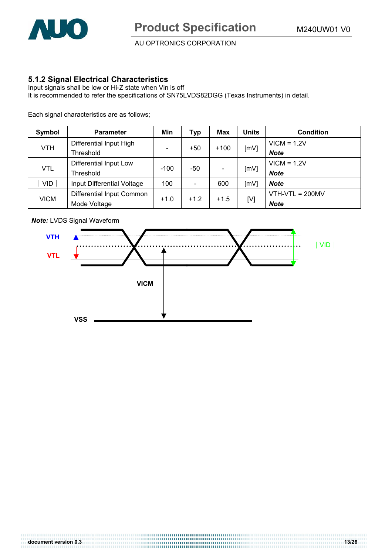

### **5.1.2 Signal Electrical Characteristics**

Input signals shall be low or Hi-Z state when Vin is off It is recommended to refer the specifications of SN75LVDS82DGG (Texas Instruments) in detail.

Each signal characteristics are as follows;

| Symbol      | <b>Parameter</b>           | Min                      | Тур    | Max    | <b>Units</b> | <b>Condition</b>  |
|-------------|----------------------------|--------------------------|--------|--------|--------------|-------------------|
| <b>VTH</b>  | Differential Input High    |                          | $+50$  | $+100$ | [mV]         | $VICM = 1.2V$     |
|             | Threshold                  | $\overline{\phantom{0}}$ |        |        |              | <b>Note</b>       |
| <b>VTL</b>  | Differential Input Low     |                          | -50    |        | [mV]         | $VICM = 1.2V$     |
|             | Threshold                  | $-100$                   |        |        |              | <b>Note</b>       |
| <b>VID</b>  | Input Differential Voltage | 100                      |        | 600    | [mV]         | <b>Note</b>       |
| <b>VICM</b> | Differential Input Common  |                          |        |        |              | $VTH-VTL = 200MV$ |
|             | Mode Voltage               | $+1.0$                   | $+1.2$ | $+1.5$ | [V]          | <b>Note</b>       |



*Note:* LVDS Signal Waveform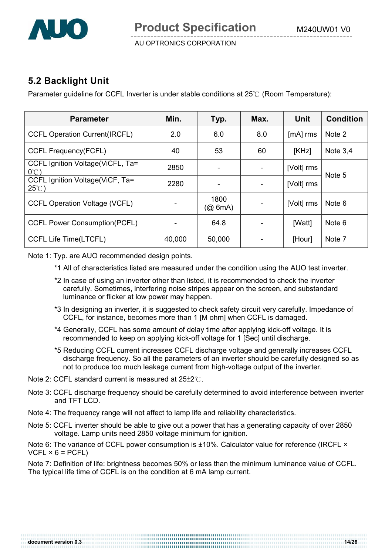

# **5.2 Backlight Unit**

Parameter guideline for CCFL Inverter is under stable conditions at  $25^{\circ}$  (Room Temperature):

| <b>Parameter</b>                                    | Min.   | Typ.               | Max. | Unit       | <b>Condition</b> |  |
|-----------------------------------------------------|--------|--------------------|------|------------|------------------|--|
| <b>CCFL Operation Current(IRCFL)</b>                | 2.0    | 6.0                | 8.0  | [mA] rms   | Note 2           |  |
| <b>CCFL Frequency(FCFL)</b>                         | 40     | 53                 | 60   | [KHz]      | Note $3,4$       |  |
| CCFL Ignition Voltage (ViCFL, Ta=<br>$0^{\circ}$ C) | 2850   | ۰                  |      | [Volt] rms | Note 5           |  |
| CCFL Ignition Voltage(ViCF, Ta=<br>$25^{\circ}$ C)  | 2280   |                    |      | [Volt] rms |                  |  |
| <b>CCFL Operation Voltage (VCFL)</b>                |        | 1800<br>$(Q\ 6mA)$ |      | [Volt] rms | Note 6           |  |
| <b>CCFL Power Consumption(PCFL)</b>                 |        | 64.8               |      | [Watt]     | Note 6           |  |
| <b>CCFL Life Time(LTCFL)</b>                        | 40,000 | 50,000             |      | [Hour]     | Note 7           |  |

Note 1: Typ. are AUO recommended design points.

- \*1 All of characteristics listed are measured under the condition using the AUO test inverter.
- \*2 In case of using an inverter other than listed, it is recommended to check the inverter carefully. Sometimes, interfering noise stripes appear on the screen, and substandard luminance or flicker at low power may happen.
- \*3 In designing an inverter, it is suggested to check safety circuit very carefully. Impedance of CCFL, for instance, becomes more than 1 [M ohm] when CCFL is damaged.
- \*4 Generally, CCFL has some amount of delay time after applying kick-off voltage. It is recommended to keep on applying kick-off voltage for 1 [Sec] until discharge.
- \*5 Reducing CCFL current increases CCFL discharge voltage and generally increases CCFL discharge frequency. So all the parameters of an inverter should be carefully designed so as not to produce too much leakage current from high-voltage output of the inverter.
- Note 2: CCFL standard current is measured at  $25\pm2^{\circ}$ .
- Note 3: CCFL discharge frequency should be carefully determined to avoid interference between inverter and TFT LCD
- Note 4: The frequency range will not affect to lamp life and reliability characteristics.
- Note 5: CCFL inverter should be able to give out a power that has a generating capacity of over 2850 voltage. Lamp units need 2850 voltage minimum for ignition.

Note 6: The variance of CCFL power consumption is ±10%. Calculator value for reference (IRCFL ×  $VCFL \times 6 = PCFL$ 

Note 7: Definition of life: brightness becomes 50% or less than the minimum luminance value of CCFL. The typical life time of CCFL is on the condition at 6 mA lamp current.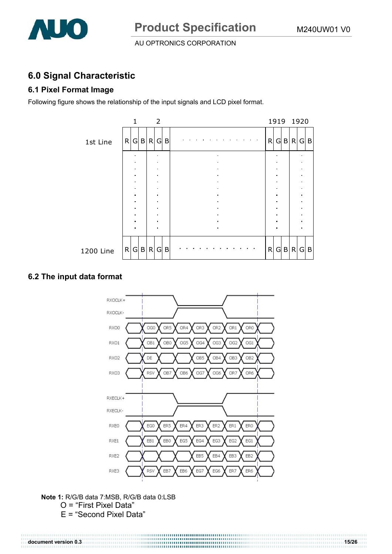

# **6.0 Signal Characteristic**

# **6.1 Pixel Format Image**

Following figure shows the relationship of the input signals and LCD pixel format.

|           |                | 2              |   |                 |   |   |         | 1919 1920 |                     |  |
|-----------|----------------|----------------|---|-----------------|---|---|---------|-----------|---------------------|--|
| 1st Line  | R G B R        | G              | B | $\sim$ 10 $\pm$ | R |   | G B     | R         | G B                 |  |
|           |                |                |   |                 |   |   |         |           |                     |  |
|           |                |                |   |                 |   |   |         |           |                     |  |
|           |                |                |   |                 |   |   |         |           |                     |  |
|           | $\blacksquare$ | $\blacksquare$ |   |                 |   | × |         |           | $\blacksquare$      |  |
|           | ٠              |                |   |                 |   | ٠ |         |           | $\blacksquare$<br>٠ |  |
|           |                |                |   |                 |   |   |         |           | $\blacksquare$      |  |
|           |                |                |   | $\blacksquare$  |   | ٠ |         |           | $\blacksquare$      |  |
| 1200 Line | R G B R        | G              | B |                 | R |   | $G$ $B$ | R         | $G \mid B$          |  |

### **6.2 The input data format**



**Note 1:** R/G/B data 7:MSB, R/G/B data 0:LSB O = "First Pixel Data"

E = "Second Pixel Data"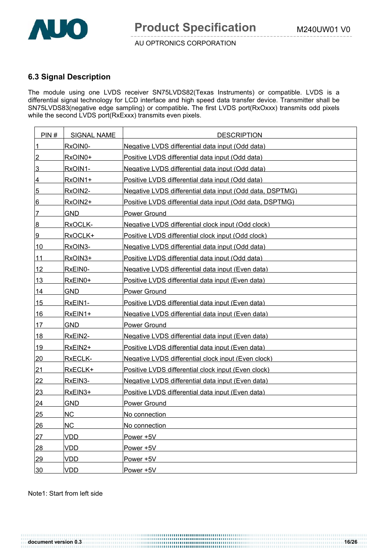

### **6.3 Signal Description**

The module using one LVDS receiver SN75LVDS82(Texas Instruments) or compatible. LVDS is a differential signal technology for LCD interface and high speed data transfer device. Transmitter shall be SN75LVDS83(negative edge sampling) or compatible**.** The first LVDS port(RxOxxx) transmits odd pixels while the second LVDS port(RxExxx) transmits even pixels.

| PIN#            | <b>SIGNAL NAME</b> | <b>DESCRIPTION</b>                                       |
|-----------------|--------------------|----------------------------------------------------------|
| $\overline{1}$  | RxOIN0-            | Negative LVDS differential data input (Odd data)         |
| $\overline{2}$  | RxOIN0+            | Positive LVDS differential data input (Odd data)         |
| 3               | RxOIN1-            | Negative LVDS differential data input (Odd data)         |
| 4               | RxOIN1+            | Positive LVDS differential data input (Odd data)         |
| $\overline{5}$  | RxOIN2-            | Negative LVDS differential data input (Odd data, DSPTMG) |
| 6               | RxOIN2+            | Positive LVDS differential data input (Odd data, DSPTMG) |
| $\overline{7}$  | <b>GND</b>         | Power Ground                                             |
| 8               | RxOCLK-            | Negative LVDS differential clock input (Odd clock)       |
| 9               | RxOCLK+            | Positive LVDS differential clock input (Odd clock)       |
| 10              | RxOIN3-            | Negative LVDS differential data input (Odd data)         |
| 11              | RxOIN3+            | Positive LVDS differential data input (Odd data)         |
| 12              | RxEIN0-            | Negative LVDS differential data input (Even data)        |
| 13              | RxEIN0+            | Positive LVDS differential data input (Even data)        |
| 14              | GND.               | <b>Power Ground</b>                                      |
| 15              | RxEIN1-            | Positive LVDS differential data input (Even data)        |
| 16              | RxEIN1+            | Negative LVDS differential data input (Even data)        |
| 17              | <b>GND</b>         | <b>Power Ground</b>                                      |
| 18              | RxEIN2-            | Negative LVDS differential data input (Even data)        |
| 19              | RxEIN2+            | Positive LVDS differential data input (Even data)        |
| <u>20</u>       | RxECLK-            | Negative LVDS differential clock input (Even clock)      |
| 21              | RxECLK+            | Positive LVDS differential clock input (Even clock)      |
| 22              | RxEIN3-            | Negative LVDS differential data input (Even data)        |
| 23              | RxEIN3+            | Positive LVDS differential data input (Even data)        |
| 24              | <b>GND</b>         | <b>Power Ground</b>                                      |
| <u>25</u>       | NC                 | No connection                                            |
| 26              | <b>NC</b>          | No connection                                            |
| 27              | <b>VDD</b>         | Power +5V                                                |
| 28              | <b>VDD</b>         | Power +5V                                                |
| 29              | <b>VDD</b>         | Power +5V                                                |
| 30 <sub>2</sub> | <b>VDD</b>         | Power +5V                                                |

Note1: Start from left side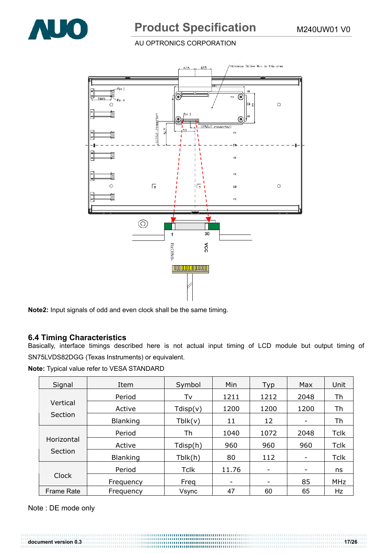

# **Product Specification** M240UW01 V0

### AU OPTRONICS CORPORATION



**Note2:** Input signals of odd and even clock shall be the same timing.

#### **6.4 Timing Characteristics**

Basically, interface timings described here is not actual input timing of LCD module but output timing of SN75LVDS82DGG (Texas Instruments) or equivalent.

**Note:** Typical value refer to VESA STANDARD

| Signal                | Item            | Symbol      | Min   | Typ                      | Max                      | Unit        |
|-----------------------|-----------------|-------------|-------|--------------------------|--------------------------|-------------|
|                       | Period          | Tv          | 1211  | 1212                     | 2048                     | Th          |
| Vertical              | Active          | Tdisp(v)    | 1200  | 1200                     | 1200                     | Th          |
| Section               | <b>Blanking</b> | Tblk(v)     | 11    | 12                       | -                        | Th          |
| Horizontal<br>Section | Period          | Th          | 1040  | 1072                     | 2048                     | Tclk        |
|                       | Active          | Tdisp(h)    | 960   | 960                      | 960                      | <b>Tclk</b> |
|                       | <b>Blanking</b> | Tblk(h)     | 80    | 112                      | $\overline{\phantom{a}}$ | <b>Tclk</b> |
| Clock                 | Period          | <b>Tclk</b> | 11.76 | $\overline{\phantom{a}}$ | ۰                        | ns          |
|                       | Frequency       | Freq        |       | -                        | 85                       | MHz         |
| <b>Frame Rate</b>     | Frequency       | Vsync       | 47    | 60                       | 65                       | Hz          |

Note : DE mode only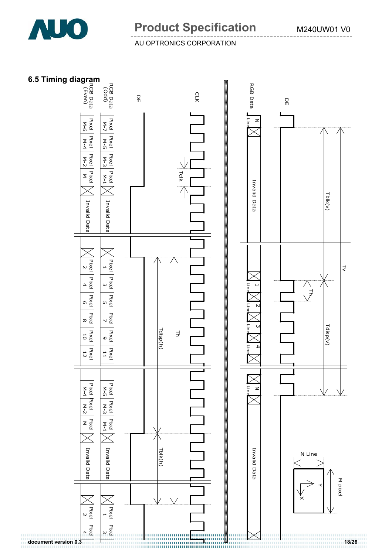

# **Product Specification** M240UW01 V0

### AU OPTRONICS CORPORATION

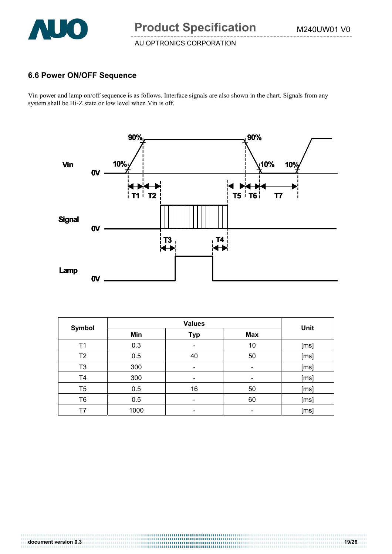

## **6.6 Power ON/OFF Sequence**

Vin power and lamp on/off sequence is as follows. Interface signals are also shown in the chart. Signals from any system shall be Hi-Z state or low level when Vin is off.



| Symbol         |      | Unit       |            |      |
|----------------|------|------------|------------|------|
|                | Min  | <b>Typ</b> | <b>Max</b> |      |
| T1             | 0.3  | -          | 10         | [ms] |
| T <sub>2</sub> | 0.5  | 40         | 50         | [ms] |
| T <sub>3</sub> | 300  |            | -          | [ms] |
| T4             | 300  |            | -          | [ms] |
| T <sub>5</sub> | 0.5  | 16         | 50         | [ms] |
| T <sub>6</sub> | 0.5  |            | 60         | [ms] |
| Τ7             | 1000 |            |            | [ms] |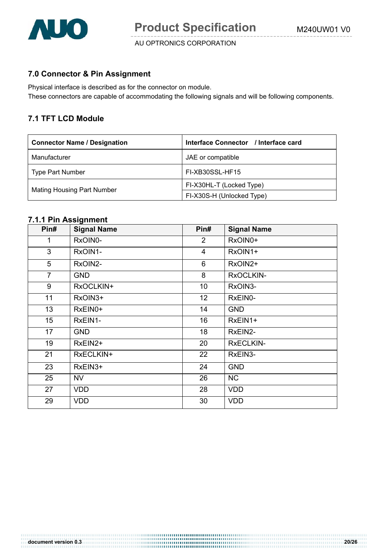

### **7.0 Connector & Pin Assignment**

Physical interface is described as for the connector on module. These connectors are capable of accommodating the following signals and will be following components.

### **7.1 TFT LCD Module**

| <b>Connector Name / Designation</b> | Interface Connector / Interface card |
|-------------------------------------|--------------------------------------|
| Manufacturer                        | JAE or compatible                    |
| <b>Type Part Number</b>             | FI-XB30SSL-HF15                      |
|                                     | FI-X30HL-T (Locked Type)             |
| <b>Mating Housing Part Number</b>   | FI-X30S-H (Unlocked Type)            |

#### **7.1.1 Pin Assignment**

| Pin#           | <b>Signal Name</b> | Pin#           | <b>Signal Name</b> |
|----------------|--------------------|----------------|--------------------|
| 1              | RxOIN0-            | $\overline{2}$ | RxOIN0+            |
| 3              | RxOIN1-            | $\overline{4}$ | RxOIN1+            |
| 5              | RxOIN2-            | 6              | RxOIN2+            |
| $\overline{7}$ | <b>GND</b>         | 8              | RxOCLKIN-          |
| 9              | RxOCLKIN+          | 10             | RxOIN3-            |
| 11             | RxOIN3+            | 12             | RxEIN0-            |
| 13             | RxEIN0+            | 14             | <b>GND</b>         |
| 15             | RxEIN1-            | 16             | RxEIN1+            |
| 17             | <b>GND</b>         | 18             | RxEIN2-            |
| 19             | RxEIN2+            | 20             | <b>RxECLKIN-</b>   |
| 21             | RxECLKIN+          | 22             | RxEIN3-            |
| 23             | RxEIN3+            | 24             | <b>GND</b>         |
| 25             | NV                 | 26             | <b>NC</b>          |
| 27             | <b>VDD</b>         | 28             | <b>VDD</b>         |
| 29             | <b>VDD</b>         | 30             | <b>VDD</b>         |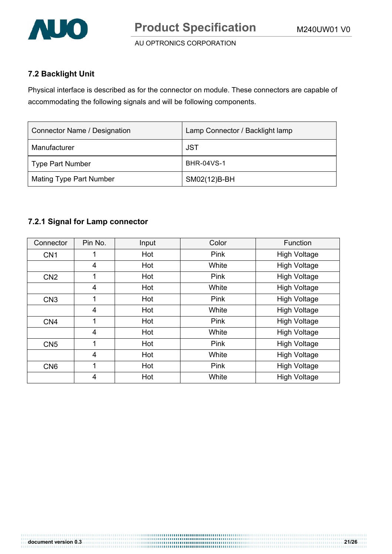

# **7.2 Backlight Unit**

Physical interface is described as for the connector on module. These connectors are capable of accommodating the following signals and will be following components.

| Connector Name / Designation   | Lamp Connector / Backlight lamp |
|--------------------------------|---------------------------------|
| Manufacturer                   | JST                             |
| <b>Type Part Number</b>        | <b>BHR-04VS-1</b>               |
| <b>Mating Type Part Number</b> | SM02(12)B-BH                    |

## **7.2.1 Signal for Lamp connector**

| Connector       | Pin No. | Input | Color | Function            |
|-----------------|---------|-------|-------|---------------------|
| CN <sub>1</sub> |         | Hot   | Pink  | <b>High Voltage</b> |
|                 | 4       | Hot   | White | <b>High Voltage</b> |
| CN <sub>2</sub> | 1       | Hot   | Pink  | <b>High Voltage</b> |
|                 | 4       | Hot   | White | <b>High Voltage</b> |
| CN <sub>3</sub> | 1       | Hot   | Pink  | <b>High Voltage</b> |
|                 | 4       | Hot   | White | <b>High Voltage</b> |
| CN <sub>4</sub> | 1       | Hot   | Pink  | <b>High Voltage</b> |
|                 | 4       | Hot   | White | <b>High Voltage</b> |
| CN <sub>5</sub> | 1       | Hot   | Pink  | <b>High Voltage</b> |
|                 | 4       | Hot   | White | <b>High Voltage</b> |
| CN <sub>6</sub> | 1       | Hot   | Pink  | <b>High Voltage</b> |
|                 | 4       | Hot   | White | <b>High Voltage</b> |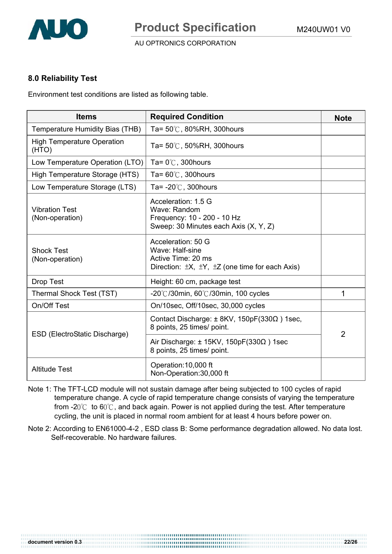

## **8.0 Reliability Test**

Environment test conditions are listed as following table.

| <b>Items</b>                               | <b>Required Condition</b>                                                                                                      | <b>Note</b>    |
|--------------------------------------------|--------------------------------------------------------------------------------------------------------------------------------|----------------|
| Temperature Humidity Bias (THB)            | Ta= $50^{\circ}$ C, 80%RH, 300 hours                                                                                           |                |
| <b>High Temperature Operation</b><br>(HTO) | Ta= $50^{\circ}$ C, $50\%$ RH, 300 hours                                                                                       |                |
| Low Temperature Operation (LTO)            | Ta= $0^{\circ}$ C, 300 hours                                                                                                   |                |
| High Temperature Storage (HTS)             | Ta= $60^{\circ}$ C, 300 hours                                                                                                  |                |
| Low Temperature Storage (LTS)              | Ta= $-20^{\circ}$ C, 300 hours                                                                                                 |                |
| <b>Vibration Test</b><br>(Non-operation)   | Acceleration: 1.5 G<br>Wave: Random<br>Frequency: 10 - 200 - 10 Hz<br>Sweep: 30 Minutes each Axis (X, Y, Z)                    |                |
| <b>Shock Test</b><br>(Non-operation)       | Acceleration: 50 G<br>Wave: Half-sine<br>Active Time: 20 ms<br>Direction: $\pm X$ , $\pm Y$ , $\pm Z$ (one time for each Axis) |                |
| <b>Drop Test</b>                           | Height: 60 cm, package test                                                                                                    |                |
| Thermal Shock Test (TST)                   | $-20^{\circ}$ C/30min, 60 $^{\circ}$ C/30min, 100 cycles                                                                       | 1              |
| On/Off Test                                | On/10sec, Off/10sec, 30,000 cycles                                                                                             |                |
| ESD (ElectroStatic Discharge)              | Contact Discharge: $\pm$ 8KV, 150pF(330 $\Omega$ ) 1sec,<br>8 points, 25 times/ point.                                         | $\overline{2}$ |
|                                            | Air Discharge: $\pm$ 15KV, 150pF(330 $\Omega$ ) 1sec<br>8 points, 25 times/ point.                                             |                |
| <b>Altitude Test</b>                       | Operation: 10,000 ft<br>Non-Operation: 30,000 ft                                                                               |                |

- Note 1: The TFT-LCD module will not sustain damage after being subjected to 100 cycles of rapid temperature change. A cycle of rapid temperature change consists of varying the temperature from -2 $0^{\circ}$  to 6 $0^{\circ}$ C, and back again. Power is not applied during the test. After temperature cycling, the unit is placed in normal room ambient for at least 4 hours before power on.
- Note 2: According to EN61000-4-2 , ESD class B: Some performance degradation allowed. No data lost. Self-recoverable. No hardware failures.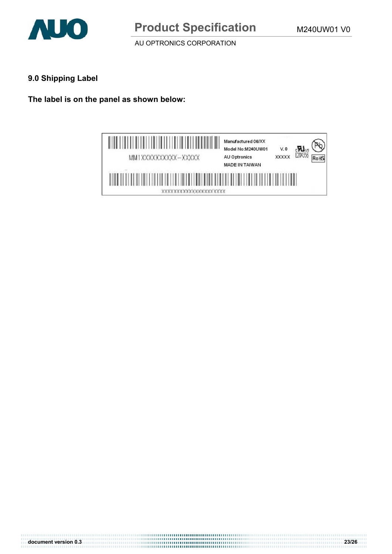

# **9.0 Shipping Label**

**The label is on the panel as shown below:** 



**document version 0.3 23/26**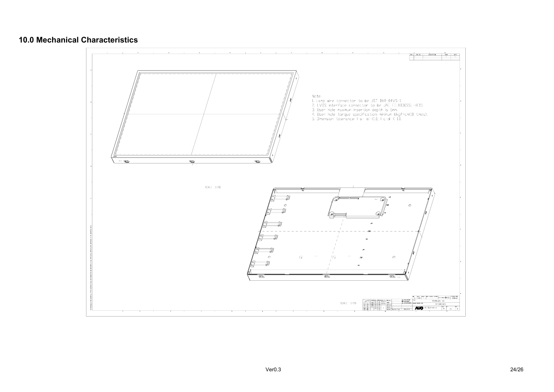### **10.0 Mechanical Characteristics**

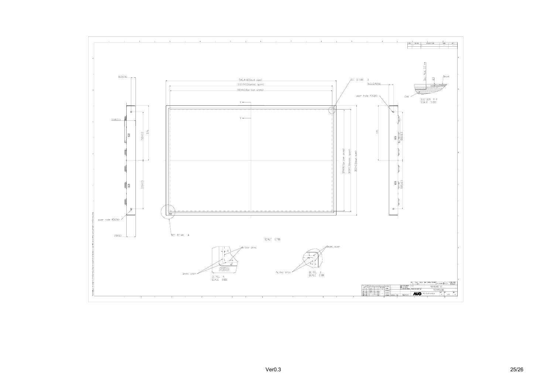